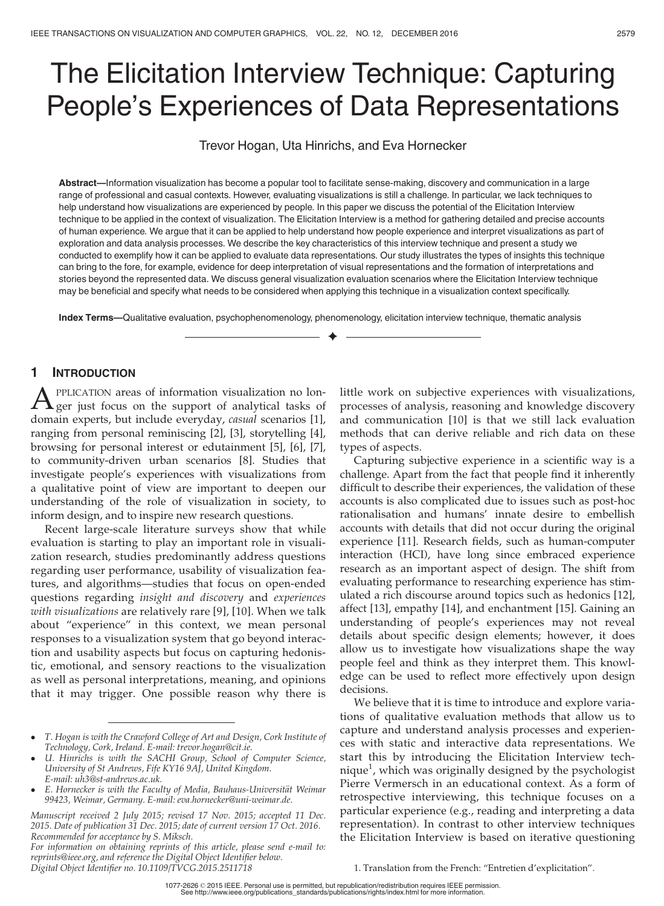# The Elicitation Interview Technique: Capturing People's Experiences of Data Representations

Trevor Hogan, Uta Hinrichs, and Eva Hornecker

Abstract—Information visualization has become a popular tool to facilitate sense-making, discovery and communication in a large range of professional and casual contexts. However, evaluating visualizations is still a challenge. In particular, we lack techniques to help understand how visualizations are experienced by people. In this paper we discuss the potential of the Elicitation Interview technique to be applied in the context of visualization. The Elicitation Interview is a method for gathering detailed and precise accounts of human experience. We argue that it can be applied to help understand how people experience and interpret visualizations as part of exploration and data analysis processes. We describe the key characteristics of this interview technique and present a study we conducted to exemplify how it can be applied to evaluate data representations. Our study illustrates the types of insights this technique can bring to the fore, for example, evidence for deep interpretation of visual representations and the formation of interpretations and stories beyond the represented data. We discuss general visualization evaluation scenarios where the Elicitation Interview technique may be beneficial and specify what needs to be considered when applying this technique in a visualization context specifically.

Index Terms—Qualitative evaluation, psychophenomenology, phenomenology, elicitation interview technique, thematic analysis

 $\bigstar$ 

# 1 INTRODUCTION

A PPLICATION areas of information visualization no lon-<br>ger just focus on the support of analytical tasks of domain experts, but include everyday, casual scenarios [1], ranging from personal reminiscing [2], [3], storytelling [4], browsing for personal interest or edutainment [5], [6], [7], to community-driven urban scenarios [8]. Studies that investigate people's experiences with visualizations from a qualitative point of view are important to deepen our understanding of the role of visualization in society, to inform design, and to inspire new research questions.

Recent large-scale literature surveys show that while evaluation is starting to play an important role in visualization research, studies predominantly address questions regarding user performance, usability of visualization features, and algorithms—studies that focus on open-ended questions regarding insight and discovery and experiences with visualizations are relatively rare [9], [10]. When we talk about "experience" in this context, we mean personal responses to a visualization system that go beyond interaction and usability aspects but focus on capturing hedonistic, emotional, and sensory reactions to the visualization as well as personal interpretations, meaning, and opinions that it may trigger. One possible reason why there is little work on subjective experiences with visualizations, processes of analysis, reasoning and knowledge discovery and communication [10] is that we still lack evaluation methods that can derive reliable and rich data on these types of aspects.

Capturing subjective experience in a scientific way is a challenge. Apart from the fact that people find it inherently difficult to describe their experiences, the validation of these accounts is also complicated due to issues such as post-hoc rationalisation and humans' innate desire to embellish accounts with details that did not occur during the original experience [11]. Research fields, such as human-computer interaction (HCI), have long since embraced experience research as an important aspect of design. The shift from evaluating performance to researching experience has stimulated a rich discourse around topics such as hedonics [12], affect [13], empathy [14], and enchantment [15]. Gaining an understanding of people's experiences may not reveal details about specific design elements; however, it does allow us to investigate how visualizations shape the way people feel and think as they interpret them. This knowledge can be used to reflect more effectively upon design decisions.

We believe that it is time to introduce and explore variations of qualitative evaluation methods that allow us to capture and understand analysis processes and experiences with static and interactive data representations. We start this by introducing the Elicitation Interview technique<sup>1</sup>, which was originally designed by the psychologist Pierre Vermersch in an educational context. As a form of retrospective interviewing, this technique focuses on a particular experience (e.g., reading and interpreting a data representation). In contrast to other interview techniques the Elicitation Interview is based on iterative questioning

T. Hogan is with the Crawford College of Art and Design, Cork Institute of Technology, Cork, Ireland. E-mail: trevor.hogan@cit.ie.

U. Hinrichs is with the SACHI Group, School of Computer Science, University of St Andrews, Fife KY16 9AJ, United Kingdom. E-mail: uh3@st-andrews.ac.uk.

E. Hornecker is with the Faculty of Media, Bauhaus-Universität Weimar 99423, Weimar, Germany. E-mail: eva.hornecker@uni-weimar.de.

Manuscript received 2 July 2015; revised 17 Nov. 2015; accepted 11 Dec. 2015. Date of publication 31 Dec. 2015; date of current version 17 Oct. 2016. Recommended for acceptance by S. Miksch.

For information on obtaining reprints of this article, please send e-mail to: reprints@ieee.org, and reference the Digital Object Identifier below. Digital Object Identifier no. 10.1109/TVCG.2015.2511718 1. Translation from the French: "Entretien d'explicitation".

<sup>1077-2626</sup> 2015 IEEE. Personal use is permitted, but republication/redistribution requires IEEE permission. See http://www.ieee.org/publications\_standards/publications/rights/index.html for more information.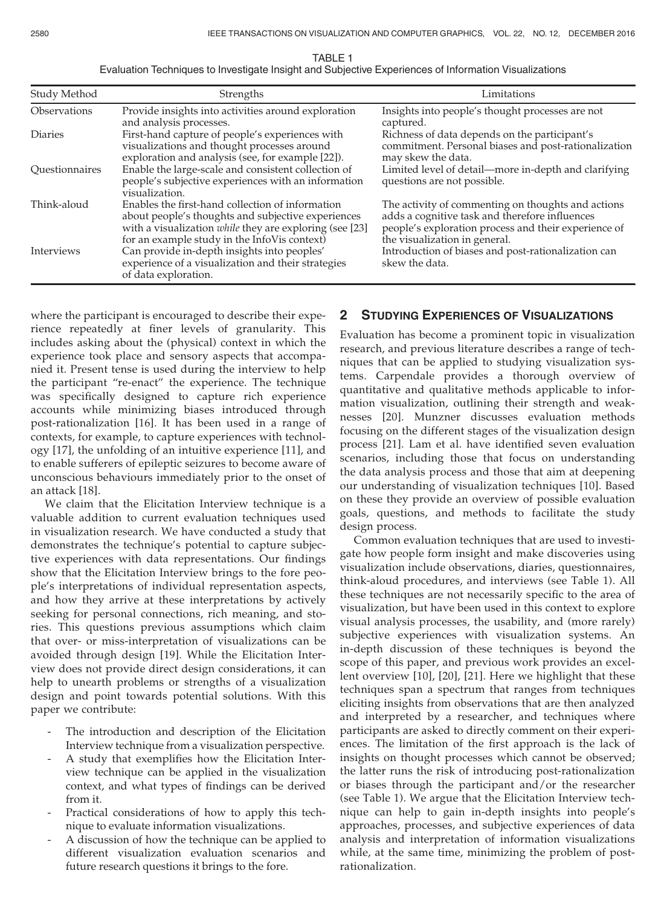| Study Method          | Strengths                                                                                                                                                                                                         | Limitations                                                                                                                                                                                   |
|-----------------------|-------------------------------------------------------------------------------------------------------------------------------------------------------------------------------------------------------------------|-----------------------------------------------------------------------------------------------------------------------------------------------------------------------------------------------|
| Observations          | Provide insights into activities around exploration<br>and analysis processes.                                                                                                                                    | Insights into people's thought processes are not<br>captured.                                                                                                                                 |
| <b>Diaries</b>        | First-hand capture of people's experiences with<br>visualizations and thought processes around<br>exploration and analysis (see, for example [22]).                                                               | Richness of data depends on the participant's<br>commitment. Personal biases and post-rationalization<br>may skew the data.                                                                   |
| <b>Ouestionnaires</b> | Enable the large-scale and consistent collection of<br>people's subjective experiences with an information<br>visualization.                                                                                      | Limited level of detail-more in-depth and clarifying<br>questions are not possible.                                                                                                           |
| Think-aloud           | Enables the first-hand collection of information<br>about people's thoughts and subjective experiences<br>with a visualization while they are exploring (see [23]<br>for an example study in the InfoVis context) | The activity of commenting on thoughts and actions<br>adds a cognitive task and therefore influences<br>people's exploration process and their experience of<br>the visualization in general. |
| Interviews            | Can provide in-depth insights into peoples'<br>experience of a visualization and their strategies<br>of data exploration.                                                                                         | Introduction of biases and post-rationalization can<br>skew the data.                                                                                                                         |

TABLE 1 Evaluation Techniques to Investigate Insight and Subjective Experiences of Information Visualizations

where the participant is encouraged to describe their experience repeatedly at finer levels of granularity. This includes asking about the (physical) context in which the experience took place and sensory aspects that accompanied it. Present tense is used during the interview to help the participant "re-enact" the experience. The technique was specifically designed to capture rich experience accounts while minimizing biases introduced through post-rationalization [16]. It has been used in a range of contexts, for example, to capture experiences with technology [17], the unfolding of an intuitive experience [11], and to enable sufferers of epileptic seizures to become aware of unconscious behaviours immediately prior to the onset of an attack [18].

We claim that the Elicitation Interview technique is a valuable addition to current evaluation techniques used in visualization research. We have conducted a study that demonstrates the technique's potential to capture subjective experiences with data representations. Our findings show that the Elicitation Interview brings to the fore people's interpretations of individual representation aspects, and how they arrive at these interpretations by actively seeking for personal connections, rich meaning, and stories. This questions previous assumptions which claim that over- or miss-interpretation of visualizations can be avoided through design [19]. While the Elicitation Interview does not provide direct design considerations, it can help to unearth problems or strengths of a visualization design and point towards potential solutions. With this paper we contribute:

- The introduction and description of the Elicitation Interview technique from a visualization perspective.
- A study that exemplifies how the Elicitation Interview technique can be applied in the visualization context, and what types of findings can be derived from it.
- Practical considerations of how to apply this technique to evaluate information visualizations.
- A discussion of how the technique can be applied to different visualization evaluation scenarios and future research questions it brings to the fore.

# 2 STUDYING EXPERIENCES OF VISUALIZATIONS

Evaluation has become a prominent topic in visualization research, and previous literature describes a range of techniques that can be applied to studying visualization systems. Carpendale provides a thorough overview of quantitative and qualitative methods applicable to information visualization, outlining their strength and weaknesses [20]. Munzner discusses evaluation methods focusing on the different stages of the visualization design process [21]. Lam et al. have identified seven evaluation scenarios, including those that focus on understanding the data analysis process and those that aim at deepening our understanding of visualization techniques [10]. Based on these they provide an overview of possible evaluation goals, questions, and methods to facilitate the study design process.

Common evaluation techniques that are used to investigate how people form insight and make discoveries using visualization include observations, diaries, questionnaires, think-aloud procedures, and interviews (see Table 1). All these techniques are not necessarily specific to the area of visualization, but have been used in this context to explore visual analysis processes, the usability, and (more rarely) subjective experiences with visualization systems. An in-depth discussion of these techniques is beyond the scope of this paper, and previous work provides an excellent overview [10], [20], [21]. Here we highlight that these techniques span a spectrum that ranges from techniques eliciting insights from observations that are then analyzed and interpreted by a researcher, and techniques where participants are asked to directly comment on their experiences. The limitation of the first approach is the lack of insights on thought processes which cannot be observed; the latter runs the risk of introducing post-rationalization or biases through the participant and/or the researcher (see Table 1). We argue that the Elicitation Interview technique can help to gain in-depth insights into people's approaches, processes, and subjective experiences of data analysis and interpretation of information visualizations while, at the same time, minimizing the problem of postrationalization.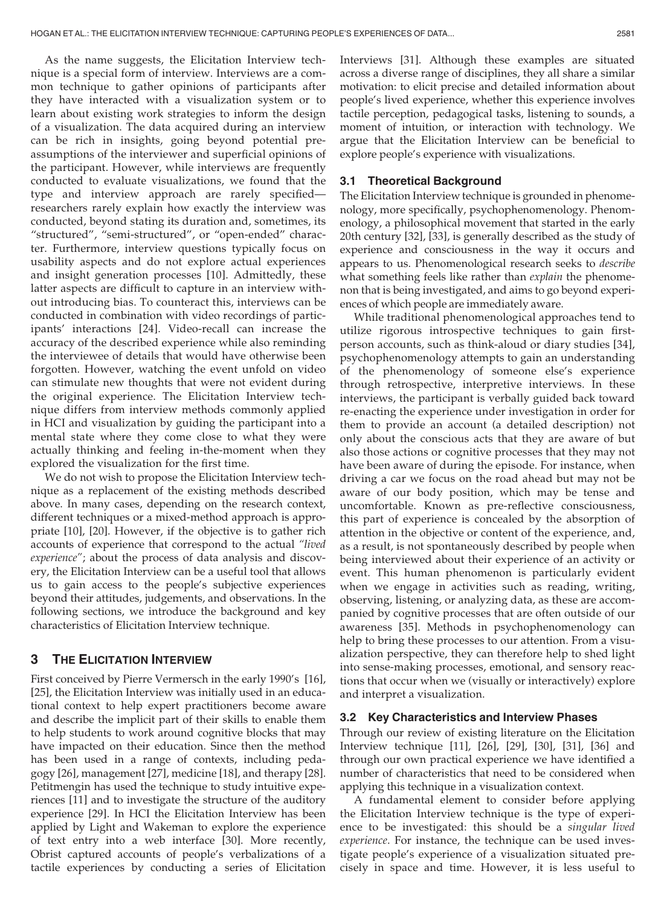As the name suggests, the Elicitation Interview technique is a special form of interview. Interviews are a common technique to gather opinions of participants after they have interacted with a visualization system or to learn about existing work strategies to inform the design of a visualization. The data acquired during an interview can be rich in insights, going beyond potential preassumptions of the interviewer and superficial opinions of the participant. However, while interviews are frequently conducted to evaluate visualizations, we found that the type and interview approach are rarely specified researchers rarely explain how exactly the interview was conducted, beyond stating its duration and, sometimes, its "structured", "semi-structured", or "open-ended" character. Furthermore, interview questions typically focus on usability aspects and do not explore actual experiences and insight generation processes [10]. Admittedly, these latter aspects are difficult to capture in an interview without introducing bias. To counteract this, interviews can be conducted in combination with video recordings of participants' interactions [24]. Video-recall can increase the accuracy of the described experience while also reminding the interviewee of details that would have otherwise been forgotten. However, watching the event unfold on video can stimulate new thoughts that were not evident during the original experience. The Elicitation Interview technique differs from interview methods commonly applied in HCI and visualization by guiding the participant into a mental state where they come close to what they were actually thinking and feeling in-the-moment when they explored the visualization for the first time.

We do not wish to propose the Elicitation Interview technique as a replacement of the existing methods described above. In many cases, depending on the research context, different techniques or a mixed-method approach is appropriate [10], [20]. However, if the objective is to gather rich accounts of experience that correspond to the actual "lived experience"; about the process of data analysis and discovery, the Elicitation Interview can be a useful tool that allows us to gain access to the people's subjective experiences beyond their attitudes, judgements, and observations. In the following sections, we introduce the background and key characteristics of Elicitation Interview technique.

## 3 THE ELICITATION INTERVIEW

First conceived by Pierre Vermersch in the early 1990's [16], [25], the Elicitation Interview was initially used in an educational context to help expert practitioners become aware and describe the implicit part of their skills to enable them to help students to work around cognitive blocks that may have impacted on their education. Since then the method has been used in a range of contexts, including pedagogy [26], management [27], medicine [18], and therapy [28]. Petitmengin has used the technique to study intuitive experiences [11] and to investigate the structure of the auditory experience [29]. In HCI the Elicitation Interview has been applied by Light and Wakeman to explore the experience of text entry into a web interface [30]. More recently, Obrist captured accounts of people's verbalizations of a tactile experiences by conducting a series of Elicitation Interviews [31]. Although these examples are situated across a diverse range of disciplines, they all share a similar motivation: to elicit precise and detailed information about people's lived experience, whether this experience involves tactile perception, pedagogical tasks, listening to sounds, a moment of intuition, or interaction with technology. We argue that the Elicitation Interview can be beneficial to explore people's experience with visualizations.

#### 3.1 Theoretical Background

The Elicitation Interview technique is grounded in phenomenology, more specifically, psychophenomenology. Phenomenology, a philosophical movement that started in the early 20th century [32], [33], is generally described as the study of experience and consciousness in the way it occurs and appears to us. Phenomenological research seeks to describe what something feels like rather than explain the phenomenon that is being investigated, and aims to go beyond experiences of which people are immediately aware.

While traditional phenomenological approaches tend to utilize rigorous introspective techniques to gain firstperson accounts, such as think-aloud or diary studies [34], psychophenomenology attempts to gain an understanding of the phenomenology of someone else's experience through retrospective, interpretive interviews. In these interviews, the participant is verbally guided back toward re-enacting the experience under investigation in order for them to provide an account (a detailed description) not only about the conscious acts that they are aware of but also those actions or cognitive processes that they may not have been aware of during the episode. For instance, when driving a car we focus on the road ahead but may not be aware of our body position, which may be tense and uncomfortable. Known as pre-reflective consciousness, this part of experience is concealed by the absorption of attention in the objective or content of the experience, and, as a result, is not spontaneously described by people when being interviewed about their experience of an activity or event. This human phenomenon is particularly evident when we engage in activities such as reading, writing, observing, listening, or analyzing data, as these are accompanied by cognitive processes that are often outside of our awareness [35]. Methods in psychophenomenology can help to bring these processes to our attention. From a visualization perspective, they can therefore help to shed light into sense-making processes, emotional, and sensory reactions that occur when we (visually or interactively) explore and interpret a visualization.

#### 3.2 Key Characteristics and Interview Phases

Through our review of existing literature on the Elicitation Interview technique [11], [26], [29], [30], [31], [36] and through our own practical experience we have identified a number of characteristics that need to be considered when applying this technique in a visualization context.

A fundamental element to consider before applying the Elicitation Interview technique is the type of experience to be investigated: this should be a singular lived experience. For instance, the technique can be used investigate people's experience of a visualization situated precisely in space and time. However, it is less useful to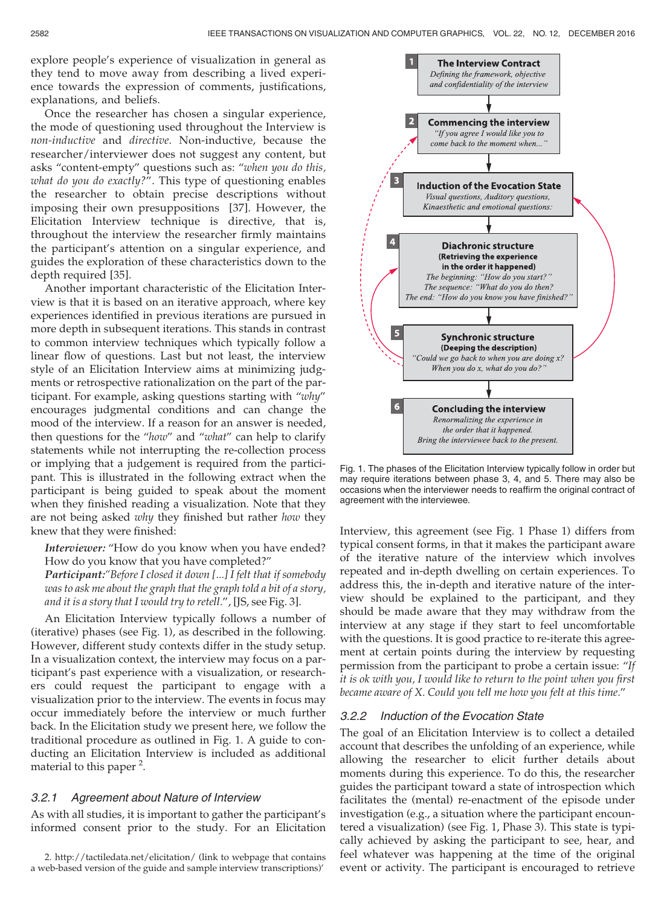explore people's experience of visualization in general as they tend to move away from describing a lived experience towards the expression of comments, justifications, explanations, and beliefs.

Once the researcher has chosen a singular experience, the mode of questioning used throughout the Interview is non-inductive and directive. Non-inductive, because the researcher/interviewer does not suggest any content, but asks "content-empty" questions such as: "when you do this, what do you do exactly?". This type of questioning enables the researcher to obtain precise descriptions without imposing their own presuppositions [37]. However, the Elicitation Interview technique is directive, that is, throughout the interview the researcher firmly maintains the participant's attention on a singular experience, and guides the exploration of these characteristics down to the depth required [35].

Another important characteristic of the Elicitation Interview is that it is based on an iterative approach, where key experiences identified in previous iterations are pursued in more depth in subsequent iterations. This stands in contrast to common interview techniques which typically follow a linear flow of questions. Last but not least, the interview style of an Elicitation Interview aims at minimizing judgments or retrospective rationalization on the part of the participant. For example, asking questions starting with "why" encourages judgmental conditions and can change the mood of the interview. If a reason for an answer is needed, then questions for the "how" and "what" can help to clarify statements while not interrupting the re-collection process or implying that a judgement is required from the participant. This is illustrated in the following extract when the participant is being guided to speak about the moment when they finished reading a visualization. Note that they are not being asked why they finished but rather how they knew that they were finished:

Interviewer: "How do you know when you have ended? How do you know that you have completed?"

Participant:"Before I closed it down [...] I felt that if somebody was to ask me about the graph that the graph told a bit of a story, and it is a story that I would try to retell.", [JS, see Fig. 3].

An Elicitation Interview typically follows a number of (iterative) phases (see Fig. 1), as described in the following. However, different study contexts differ in the study setup. In a visualization context, the interview may focus on a participant's past experience with a visualization, or researchers could request the participant to engage with a visualization prior to the interview. The events in focus may occur immediately before the interview or much further back. In the Elicitation study we present here, we follow the traditional procedure as outlined in Fig. 1. A guide to conducting an Elicitation Interview is included as additional material to this paper<sup>2</sup>.

#### 3.2.1 Agreement about Nature of Interview

As with all studies, it is important to gather the participant's informed consent prior to the study. For an Elicitation



Fig. 1. The phases of the Elicitation Interview typically follow in order but may require iterations between phase 3, 4, and 5. There may also be occasions when the interviewer needs to reaffirm the original contract of agreement with the interviewee.

Interview, this agreement (see Fig. 1 Phase 1) differs from typical consent forms, in that it makes the participant aware of the iterative nature of the interview which involves repeated and in-depth dwelling on certain experiences. To address this, the in-depth and iterative nature of the interview should be explained to the participant, and they should be made aware that they may withdraw from the interview at any stage if they start to feel uncomfortable with the questions. It is good practice to re-iterate this agreement at certain points during the interview by requesting permission from the participant to probe a certain issue: "If it is ok with you, I would like to return to the point when you first became aware of X. Could you tell me how you felt at this time."

## 3.2.2 Induction of the Evocation State

The goal of an Elicitation Interview is to collect a detailed account that describes the unfolding of an experience, while allowing the researcher to elicit further details about moments during this experience. To do this, the researcher guides the participant toward a state of introspection which facilitates the (mental) re-enactment of the episode under investigation (e.g., a situation where the participant encountered a visualization) (see Fig. 1, Phase 3). This state is typically achieved by asking the participant to see, hear, and feel whatever was happening at the time of the original event or activity. The participant is encouraged to retrieve

<sup>2.</sup> http://tactiledata.net/elicitation/ (link to webpage that contains a web-based version of the guide and sample interview transcriptions)'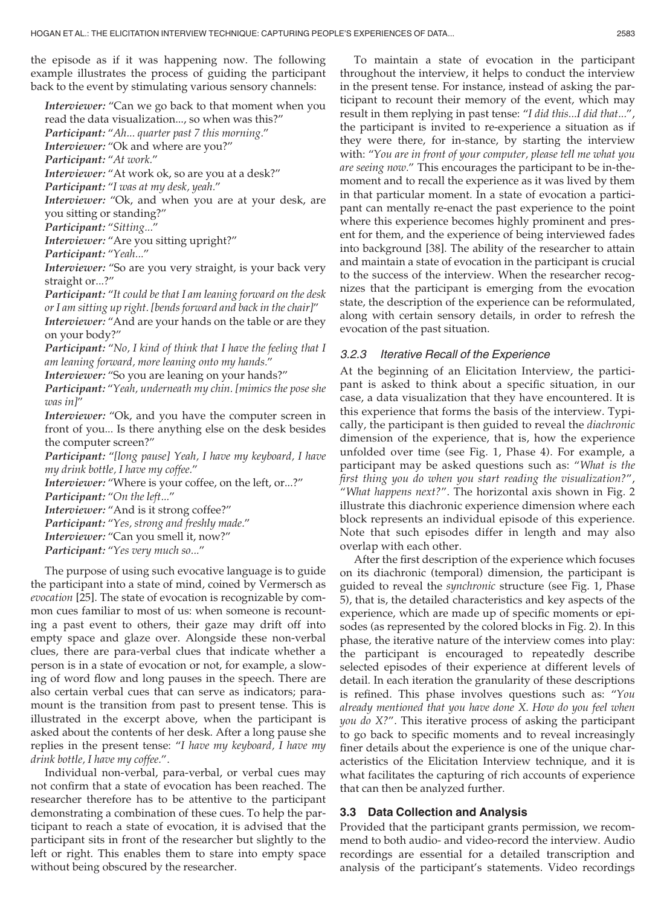the episode as if it was happening now. The following example illustrates the process of guiding the participant back to the event by stimulating various sensory channels:

Interviewer: "Can we go back to that moment when you read the data visualization..., so when was this?"

Participant: "Ah... quarter past 7 this morning."

Interviewer: "Ok and where are you?"

Participant: "At work."

Interviewer: "At work ok, so are you at a desk?"

Participant: "I was at my desk, yeah."

Interviewer: "Ok, and when you are at your desk, are you sitting or standing?"

Participant: "Sitting..."

Interviewer: "Are you sitting upright?"

Participant: "Yeah..."

Interviewer: "So are you very straight, is your back very straight or...?"

Participant: "It could be that I am leaning forward on the desk or I am sitting up right. [bends forward and back in the chair]"

Interviewer: "And are your hands on the table or are they on your body?"

Participant: "No, I kind of think that I have the feeling that I am leaning forward, more leaning onto my hands."

Interviewer: "So you are leaning on your hands?"

Participant: "Yeah, underneath my chin. [mimics the pose she was in]"

Interviewer: "Ok, and you have the computer screen in front of you... Is there anything else on the desk besides the computer screen?"

Participant: "[long pause] Yeah, I have my keyboard, I have my drink bottle, I have my coffee."

Interviewer: "Where is your coffee, on the left, or...?"

Participant: "On the left..."

Interviewer: "And is it strong coffee?"

Participant: "Yes, strong and freshly made."

Interviewer: "Can you smell it, now?"

Participant: "Yes very much so..."

The purpose of using such evocative language is to guide the participant into a state of mind, coined by Vermersch as evocation [25]. The state of evocation is recognizable by common cues familiar to most of us: when someone is recounting a past event to others, their gaze may drift off into empty space and glaze over. Alongside these non-verbal clues, there are para-verbal clues that indicate whether a person is in a state of evocation or not, for example, a slowing of word flow and long pauses in the speech. There are also certain verbal cues that can serve as indicators; paramount is the transition from past to present tense. This is illustrated in the excerpt above, when the participant is asked about the contents of her desk. After a long pause she replies in the present tense: "I have my keyboard, I have my drink bottle, I have my coffee.".

Individual non-verbal, para-verbal, or verbal cues may not confirm that a state of evocation has been reached. The researcher therefore has to be attentive to the participant demonstrating a combination of these cues. To help the participant to reach a state of evocation, it is advised that the participant sits in front of the researcher but slightly to the left or right. This enables them to stare into empty space without being obscured by the researcher.

To maintain a state of evocation in the participant throughout the interview, it helps to conduct the interview in the present tense. For instance, instead of asking the participant to recount their memory of the event, which may result in them replying in past tense: "I did this...I did that...", the participant is invited to re-experience a situation as if they were there, for in-stance, by starting the interview with: "You are in front of your computer, please tell me what you are seeing now." This encourages the participant to be in-themoment and to recall the experience as it was lived by them in that particular moment. In a state of evocation a participant can mentally re-enact the past experience to the point where this experience becomes highly prominent and present for them, and the experience of being interviewed fades into background [38]. The ability of the researcher to attain and maintain a state of evocation in the participant is crucial to the success of the interview. When the researcher recognizes that the participant is emerging from the evocation state, the description of the experience can be reformulated, along with certain sensory details, in order to refresh the evocation of the past situation.

## 3.2.3 Iterative Recall of the Experience

At the beginning of an Elicitation Interview, the participant is asked to think about a specific situation, in our case, a data visualization that they have encountered. It is this experience that forms the basis of the interview. Typically, the participant is then guided to reveal the diachronic dimension of the experience, that is, how the experience unfolded over time (see Fig. 1, Phase 4). For example, a participant may be asked questions such as: "What is the first thing you do when you start reading the visualization?", "What happens next?". The horizontal axis shown in Fig. 2 illustrate this diachronic experience dimension where each block represents an individual episode of this experience. Note that such episodes differ in length and may also overlap with each other.

After the first description of the experience which focuses on its diachronic (temporal) dimension, the participant is guided to reveal the synchronic structure (see Fig. 1, Phase 5), that is, the detailed characteristics and key aspects of the experience, which are made up of specific moments or episodes (as represented by the colored blocks in Fig. 2). In this phase, the iterative nature of the interview comes into play: the participant is encouraged to repeatedly describe selected episodes of their experience at different levels of detail. In each iteration the granularity of these descriptions is refined. This phase involves questions such as: "You already mentioned that you have done X. How do you feel when you do X?". This iterative process of asking the participant to go back to specific moments and to reveal increasingly finer details about the experience is one of the unique characteristics of the Elicitation Interview technique, and it is what facilitates the capturing of rich accounts of experience that can then be analyzed further.

## 3.3 Data Collection and Analysis

Provided that the participant grants permission, we recommend to both audio- and video-record the interview. Audio recordings are essential for a detailed transcription and analysis of the participant's statements. Video recordings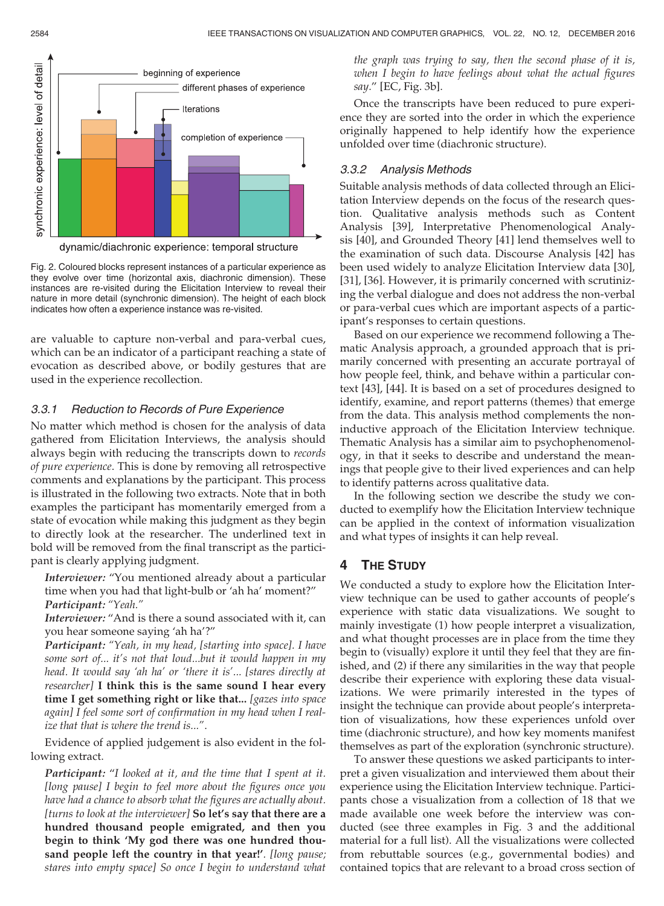



Fig. 2. Coloured blocks represent instances of a particular experience as they evolve over time (horizontal axis, diachronic dimension). These instances are re-visited during the Elicitation Interview to reveal their nature in more detail (synchronic dimension). The height of each block indicates how often a experience instance was re-visited.

are valuable to capture non-verbal and para-verbal cues, which can be an indicator of a participant reaching a state of evocation as described above, or bodily gestures that are used in the experience recollection.

#### 3.3.1 Reduction to Records of Pure Experience

No matter which method is chosen for the analysis of data gathered from Elicitation Interviews, the analysis should always begin with reducing the transcripts down to records of pure experience. This is done by removing all retrospective comments and explanations by the participant. This process is illustrated in the following two extracts. Note that in both examples the participant has momentarily emerged from a state of evocation while making this judgment as they begin to directly look at the researcher. The underlined text in bold will be removed from the final transcript as the participant is clearly applying judgment.

Interviewer: "You mentioned already about a particular time when you had that light-bulb or 'ah ha' moment?" Participant: "Yeah."

Interviewer: "And is there a sound associated with it, can you hear someone saying 'ah ha'?"

Participant: "Yeah, in my head, [starting into space]. I have some sort of... it's not that loud...but it would happen in my head. It would say 'ah ha' or 'there it is'... [stares directly at researcher] I think this is the same sound I hear every time I get something right or like that... [gazes into space again] I feel some sort of confirmation in my head when I realize that that is where the trend is...".

Evidence of applied judgement is also evident in the following extract.

Participant: "I looked at it, and the time that I spent at it. [long pause] I begin to feel more about the figures once you have had a chance to absorb what the figures are actually about. [turns to look at the interviewer] So let's say that there are a hundred thousand people emigrated, and then you begin to think 'My god there was one hundred thousand people left the country in that year!'. [long pause; stares into empty space] So once I begin to understand what the graph was trying to say, then the second phase of it is, when I begin to have feelings about what the actual figures say." [EC, Fig. 3b].

Once the transcripts have been reduced to pure experience they are sorted into the order in which the experience originally happened to help identify how the experience unfolded over time (diachronic structure).

#### 3.3.2 Analysis Methods

Suitable analysis methods of data collected through an Elicitation Interview depends on the focus of the research question. Qualitative analysis methods such as Content Analysis [39], Interpretative Phenomenological Analysis [40], and Grounded Theory [41] lend themselves well to the examination of such data. Discourse Analysis [42] has been used widely to analyze Elicitation Interview data [30], [31], [36]. However, it is primarily concerned with scrutinizing the verbal dialogue and does not address the non-verbal or para-verbal cues which are important aspects of a participant's responses to certain questions.

Based on our experience we recommend following a Thematic Analysis approach, a grounded approach that is primarily concerned with presenting an accurate portrayal of how people feel, think, and behave within a particular context [43], [44]. It is based on a set of procedures designed to identify, examine, and report patterns (themes) that emerge from the data. This analysis method complements the noninductive approach of the Elicitation Interview technique. Thematic Analysis has a similar aim to psychophenomenology, in that it seeks to describe and understand the meanings that people give to their lived experiences and can help to identify patterns across qualitative data.

In the following section we describe the study we conducted to exemplify how the Elicitation Interview technique can be applied in the context of information visualization and what types of insights it can help reveal.

## 4 THE STUDY

We conducted a study to explore how the Elicitation Interview technique can be used to gather accounts of people's experience with static data visualizations. We sought to mainly investigate (1) how people interpret a visualization, and what thought processes are in place from the time they begin to (visually) explore it until they feel that they are finished, and (2) if there any similarities in the way that people describe their experience with exploring these data visualizations. We were primarily interested in the types of insight the technique can provide about people's interpretation of visualizations, how these experiences unfold over time (diachronic structure), and how key moments manifest themselves as part of the exploration (synchronic structure).

To answer these questions we asked participants to interpret a given visualization and interviewed them about their experience using the Elicitation Interview technique. Participants chose a visualization from a collection of 18 that we made available one week before the interview was conducted (see three examples in Fig. 3 and the additional material for a full list). All the visualizations were collected from rebuttable sources (e.g., governmental bodies) and contained topics that are relevant to a broad cross section of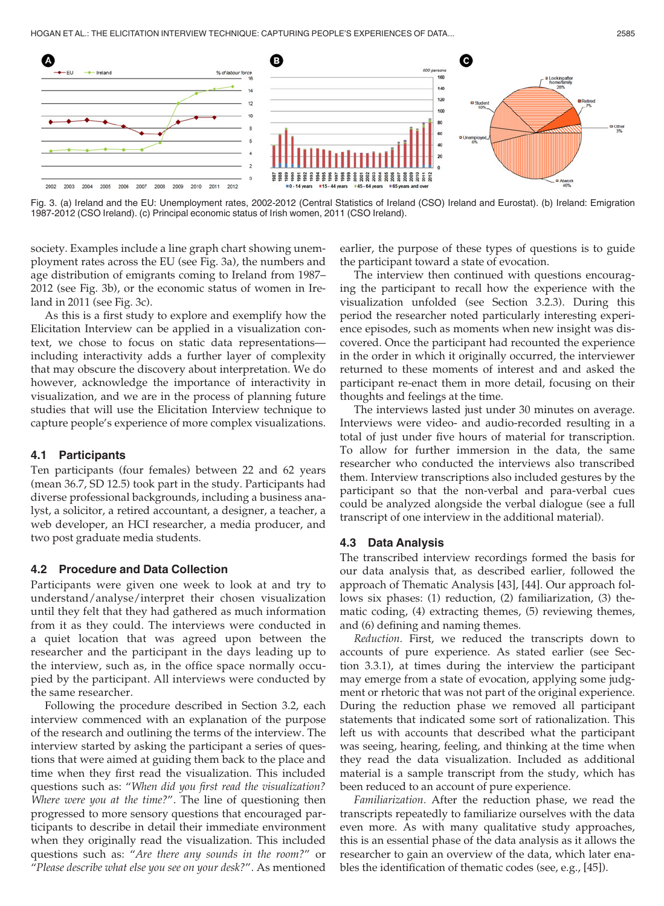

Fig. 3. (a) Ireland and the EU: Unemployment rates, 2002-2012 (Central Statistics of Ireland (CSO) Ireland and Eurostat). (b) Ireland: Emigration 1987-2012 (CSO Ireland). (c) Principal economic status of Irish women, 2011 (CSO Ireland).

society. Examples include a line graph chart showing unemployment rates across the EU (see Fig. 3a), the numbers and age distribution of emigrants coming to Ireland from 1987– 2012 (see Fig. 3b), or the economic status of women in Ireland in 2011 (see Fig. 3c).

As this is a first study to explore and exemplify how the Elicitation Interview can be applied in a visualization context, we chose to focus on static data representations including interactivity adds a further layer of complexity that may obscure the discovery about interpretation. We do however, acknowledge the importance of interactivity in visualization, and we are in the process of planning future studies that will use the Elicitation Interview technique to capture people's experience of more complex visualizations.

## 4.1 Participants

Ten participants (four females) between 22 and 62 years (mean 36.7, SD 12.5) took part in the study. Participants had diverse professional backgrounds, including a business analyst, a solicitor, a retired accountant, a designer, a teacher, a web developer, an HCI researcher, a media producer, and two post graduate media students.

#### 4.2 Procedure and Data Collection

Participants were given one week to look at and try to understand/analyse/interpret their chosen visualization until they felt that they had gathered as much information from it as they could. The interviews were conducted in a quiet location that was agreed upon between the researcher and the participant in the days leading up to the interview, such as, in the office space normally occupied by the participant. All interviews were conducted by the same researcher.

Following the procedure described in Section 3.2, each interview commenced with an explanation of the purpose of the research and outlining the terms of the interview. The interview started by asking the participant a series of questions that were aimed at guiding them back to the place and time when they first read the visualization. This included questions such as: "When did you first read the visualization? Where were you at the time?". The line of questioning then progressed to more sensory questions that encouraged participants to describe in detail their immediate environment when they originally read the visualization. This included questions such as: "Are there any sounds in the room?" or "Please describe what else you see on your desk?". As mentioned earlier, the purpose of these types of questions is to guide the participant toward a state of evocation.

The interview then continued with questions encouraging the participant to recall how the experience with the visualization unfolded (see Section 3.2.3). During this period the researcher noted particularly interesting experience episodes, such as moments when new insight was discovered. Once the participant had recounted the experience in the order in which it originally occurred, the interviewer returned to these moments of interest and and asked the participant re-enact them in more detail, focusing on their thoughts and feelings at the time.

The interviews lasted just under 30 minutes on average. Interviews were video- and audio-recorded resulting in a total of just under five hours of material for transcription. To allow for further immersion in the data, the same researcher who conducted the interviews also transcribed them. Interview transcriptions also included gestures by the participant so that the non-verbal and para-verbal cues could be analyzed alongside the verbal dialogue (see a full transcript of one interview in the additional material).

#### 4.3 Data Analysis

The transcribed interview recordings formed the basis for our data analysis that, as described earlier, followed the approach of Thematic Analysis [43], [44]. Our approach follows six phases: (1) reduction, (2) familiarization, (3) thematic coding, (4) extracting themes, (5) reviewing themes, and (6) defining and naming themes.

Reduction. First, we reduced the transcripts down to accounts of pure experience. As stated earlier (see Section 3.3.1), at times during the interview the participant may emerge from a state of evocation, applying some judgment or rhetoric that was not part of the original experience. During the reduction phase we removed all participant statements that indicated some sort of rationalization. This left us with accounts that described what the participant was seeing, hearing, feeling, and thinking at the time when they read the data visualization. Included as additional material is a sample transcript from the study, which has been reduced to an account of pure experience.

Familiarization. After the reduction phase, we read the transcripts repeatedly to familiarize ourselves with the data even more. As with many qualitative study approaches, this is an essential phase of the data analysis as it allows the researcher to gain an overview of the data, which later enables the identification of thematic codes (see, e.g., [45]).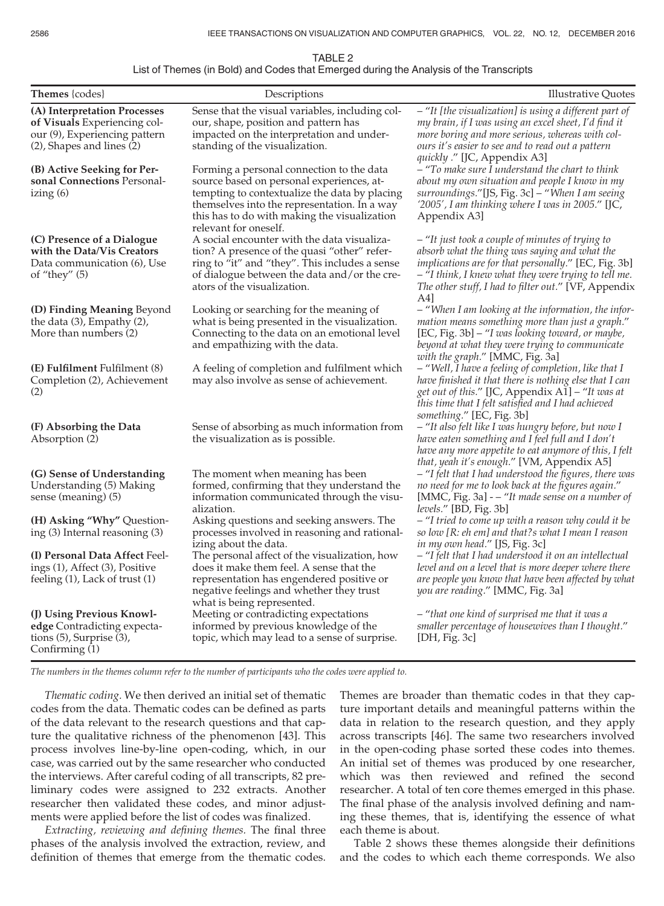| TABLE 2                                                                                |  |
|----------------------------------------------------------------------------------------|--|
| List of Themes (in Bold) and Codes that Emerged during the Analysis of the Transcripts |  |

| <b>Themes</b> {codes}                                                                                                           | Descriptions                                                                                                                                                                                                                                                     | <b>Illustrative Quotes</b>                                                                                                                                                                                                                                                       |
|---------------------------------------------------------------------------------------------------------------------------------|------------------------------------------------------------------------------------------------------------------------------------------------------------------------------------------------------------------------------------------------------------------|----------------------------------------------------------------------------------------------------------------------------------------------------------------------------------------------------------------------------------------------------------------------------------|
| (A) Interpretation Processes<br>of Visuals Experiencing col-<br>our (9), Experiencing pattern<br>$(2)$ , Shapes and lines $(2)$ | Sense that the visual variables, including col-<br>our, shape, position and pattern has<br>impacted on the interpretation and under-<br>standing of the visualization.                                                                                           | - "It [the visualization] is using a different part of<br>my brain, if I was using an excel sheet, I'd find it<br>more boring and more serious, whereas with col-<br>ours it's easier to see and to read out a pattern<br>quickly ." [JC, Appendix A3]                           |
| (B) Active Seeking for Per-<br>sonal Connections Personal-<br>$\frac{1}{2}$ izing $(6)$                                         | Forming a personal connection to the data<br>source based on personal experiences, at-<br>tempting to contextualize the data by placing<br>themselves into the representation. In a way<br>this has to do with making the visualization<br>relevant for oneself. | $-$ "To make sure I understand the chart to think<br>about my own situation and people I know in my<br>surroundings."[JS, Fig. 3c] - "When I am seeing<br>'2005', I am thinking where I was in 2005." [JC,<br>Appendix A3]                                                       |
| (C) Presence of a Dialogue<br>with the Data/Vis Creators<br>Data communication (6), Use<br>of "they" $(5)$                      | A social encounter with the data visualiza-<br>tion? A presence of the quasi "other" refer-<br>ring to "it" and "they". This includes a sense<br>of dialogue between the data and/or the cre-<br>ators of the visualization.                                     | - "It just took a couple of minutes of trying to<br>absorb what the thing was saying and what the<br>implications are for that personally." [EC, Fig. 3b]<br>- "I think, I knew what they were trying to tell me.<br>The other stuff, I had to filter out." [VF, Appendix<br>A4] |
| (D) Finding Meaning Beyond<br>the data (3), Empathy (2),<br>More than numbers (2)                                               | Looking or searching for the meaning of<br>what is being presented in the visualization.<br>Connecting to the data on an emotional level<br>and empathizing with the data.                                                                                       | - "When I am looking at the information, the infor-<br>mation means something more than just a graph."<br>[EC, Fig. 3b] - "I was looking toward, or maybe,<br>beyond at what they were trying to communicate<br>with the graph." [MMC, Fig. 3a]                                  |
| (E) Fulfilment Fulfilment (8)<br>Completion (2), Achievement<br>(2)                                                             | A feeling of completion and fulfilment which<br>may also involve as sense of achievement.                                                                                                                                                                        | - "Well, I have a feeling of completion, like that I<br>have finished it that there is nothing else that I can<br>get out of this." [JC, Appendix A1] - "It was at<br>this time that I felt satisfied and I had achieved<br>something." [EC, Fig. 3b]                            |
| (F) Absorbing the Data<br>Absorption (2)                                                                                        | Sense of absorbing as much information from<br>the visualization as is possible.                                                                                                                                                                                 | - "It also felt like I was hungry before, but now I<br>have eaten something and I feel full and I don't<br>have any more appetite to eat anymore of this, I felt<br>that, yeah it's enough." [VM, Appendix A5]                                                                   |
| (G) Sense of Understanding<br>Understanding (5) Making<br>sense (meaning) (5)                                                   | The moment when meaning has been<br>formed, confirming that they understand the<br>information communicated through the visu-<br>alization.                                                                                                                      | - "I felt that I had understood the figures, there was<br>no need for me to look back at the figures again."<br>[MMC, Fig. 3a] - - "It made sense on a number of<br><i>levels.</i> " [BD, Fig. 3b]                                                                               |
| (H) Asking "Why" Question-<br>ing (3) Internal reasoning (3)                                                                    | Asking questions and seeking answers. The<br>processes involved in reasoning and rational-<br>izing about the data.                                                                                                                                              | - "I tried to come up with a reason why could it be<br>so low [R: eh em] and that?s what I mean I reason<br>in my own head." [JS, Fig. 3c]                                                                                                                                       |
| (I) Personal Data Affect Feel-<br>ings (1), Affect (3), Positive<br>feeling (1), Lack of trust (1)                              | The personal affect of the visualization, how<br>does it make them feel. A sense that the<br>representation has engendered positive or<br>negative feelings and whether they trust<br>what is being represented.                                                 | - "I felt that I had understood it on an intellectual<br>level and on a level that is more deeper where there<br>are people you know that have been affected by what<br>you are reading." [MMC, Fig. 3a]                                                                         |
| (J) Using Previous Knowl-<br>edge Contradicting expecta-<br>tions $(5)$ , Surprise $(3)$ ,<br>Confirming (1)                    | Meeting or contradicting expectations<br>informed by previous knowledge of the<br>topic, which may lead to a sense of surprise.                                                                                                                                  | - "that one kind of surprised me that it was a<br>smaller percentage of housewives than I thought."<br>[DH, Fig. 3c]                                                                                                                                                             |

The numbers in the themes column refer to the number of participants who the codes were applied to.

Thematic coding. We then derived an initial set of thematic codes from the data. Thematic codes can be defined as parts of the data relevant to the research questions and that capture the qualitative richness of the phenomenon [43]. This process involves line-by-line open-coding, which, in our case, was carried out by the same researcher who conducted the interviews. After careful coding of all transcripts, 82 preliminary codes were assigned to 232 extracts. Another researcher then validated these codes, and minor adjustments were applied before the list of codes was finalized.

Extracting, reviewing and defining themes. The final three phases of the analysis involved the extraction, review, and definition of themes that emerge from the thematic codes. Themes are broader than thematic codes in that they capture important details and meaningful patterns within the data in relation to the research question, and they apply across transcripts [46]. The same two researchers involved in the open-coding phase sorted these codes into themes. An initial set of themes was produced by one researcher, which was then reviewed and refined the second researcher. A total of ten core themes emerged in this phase. The final phase of the analysis involved defining and naming these themes, that is, identifying the essence of what each theme is about.

Table 2 shows these themes alongside their definitions and the codes to which each theme corresponds. We also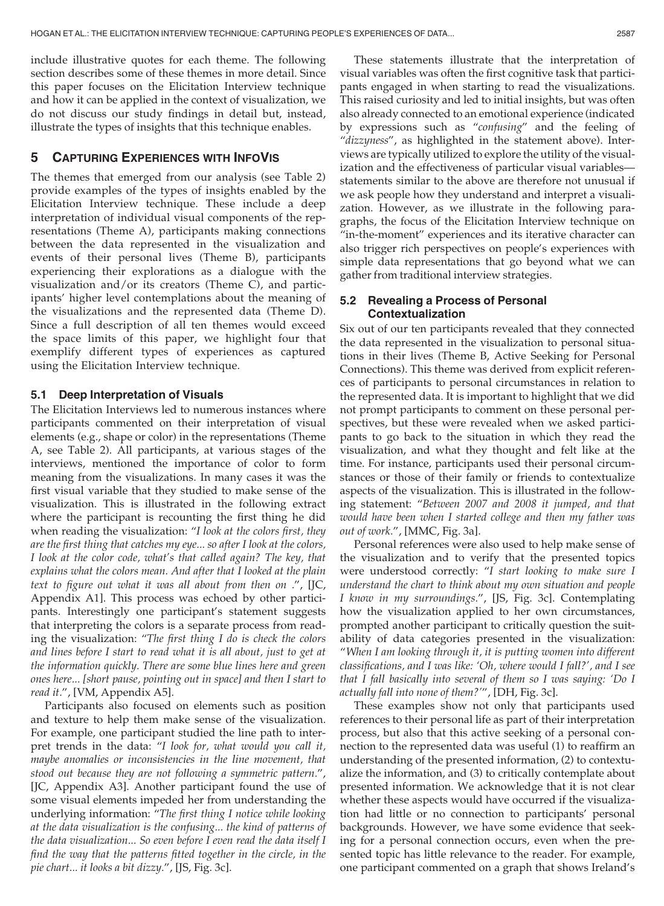include illustrative quotes for each theme. The following section describes some of these themes in more detail. Since this paper focuses on the Elicitation Interview technique and how it can be applied in the context of visualization, we do not discuss our study findings in detail but, instead, illustrate the types of insights that this technique enables.

## 5 CAPTURING EXPERIENCES WITH INFOVIS

The themes that emerged from our analysis (see Table 2) provide examples of the types of insights enabled by the Elicitation Interview technique. These include a deep interpretation of individual visual components of the representations (Theme A), participants making connections between the data represented in the visualization and events of their personal lives (Theme B), participants experiencing their explorations as a dialogue with the visualization and/or its creators (Theme C), and participants' higher level contemplations about the meaning of the visualizations and the represented data (Theme D). Since a full description of all ten themes would exceed the space limits of this paper, we highlight four that exemplify different types of experiences as captured using the Elicitation Interview technique.

#### 5.1 Deep Interpretation of Visuals

The Elicitation Interviews led to numerous instances where participants commented on their interpretation of visual elements (e.g., shape or color) in the representations (Theme A, see Table 2). All participants, at various stages of the interviews, mentioned the importance of color to form meaning from the visualizations. In many cases it was the first visual variable that they studied to make sense of the visualization. This is illustrated in the following extract where the participant is recounting the first thing he did when reading the visualization: "I look at the colors first, they are the first thing that catches my eye... so after I look at the colors, I look at the color code, what's that called again? The key, that explains what the colors mean. And after that I looked at the plain text to figure out what it was all about from then on .", [JC, Appendix A1]. This process was echoed by other participants. Interestingly one participant's statement suggests that interpreting the colors is a separate process from reading the visualization: "The first thing I do is check the colors and lines before I start to read what it is all about, just to get at the information quickly. There are some blue lines here and green ones here... [short pause, pointing out in space] and then I start to read it.", [VM, Appendix A5].

Participants also focused on elements such as position and texture to help them make sense of the visualization. For example, one participant studied the line path to interpret trends in the data: "I look for, what would you call it, maybe anomalies or inconsistencies in the line movement, that stood out because they are not following a symmetric pattern.", [JC, Appendix A3]. Another participant found the use of some visual elements impeded her from understanding the underlying information: "The first thing I notice while looking at the data visualization is the confusing... the kind of patterns of the data visualization... So even before I even read the data itself I find the way that the patterns fitted together in the circle, in the pie chart... it looks a bit dizzy.", [JS, Fig. 3c].

These statements illustrate that the interpretation of visual variables was often the first cognitive task that participants engaged in when starting to read the visualizations. This raised curiosity and led to initial insights, but was often also already connected to an emotional experience (indicated by expressions such as "confusing" and the feeling of "dizzyness", as highlighted in the statement above). Interviews are typically utilized to explore the utility of the visualization and the effectiveness of particular visual variables statements similar to the above are therefore not unusual if we ask people how they understand and interpret a visualization. However, as we illustrate in the following paragraphs, the focus of the Elicitation Interview technique on "in-the-moment" experiences and its iterative character can also trigger rich perspectives on people's experiences with simple data representations that go beyond what we can gather from traditional interview strategies.

## 5.2 Revealing a Process of Personal Contextualization

Six out of our ten participants revealed that they connected the data represented in the visualization to personal situations in their lives (Theme B, Active Seeking for Personal Connections). This theme was derived from explicit references of participants to personal circumstances in relation to the represented data. It is important to highlight that we did not prompt participants to comment on these personal perspectives, but these were revealed when we asked participants to go back to the situation in which they read the visualization, and what they thought and felt like at the time. For instance, participants used their personal circumstances or those of their family or friends to contextualize aspects of the visualization. This is illustrated in the following statement: "Between 2007 and 2008 it jumped, and that would have been when I started college and then my father was out of work.", [MMC, Fig. 3a].

Personal references were also used to help make sense of the visualization and to verify that the presented topics were understood correctly: "I start looking to make sure I understand the chart to think about my own situation and people I know in my surroundings.", [JS, Fig. 3c]. Contemplating how the visualization applied to her own circumstances, prompted another participant to critically question the suitability of data categories presented in the visualization: "When I am looking through it, it is putting women into different classifications, and I was like: 'Oh, where would I fall?', and I see that I fall basically into several of them so I was saying: 'Do I actually fall into none of them?'", [DH, Fig. 3c].

These examples show not only that participants used references to their personal life as part of their interpretation process, but also that this active seeking of a personal connection to the represented data was useful (1) to reaffirm an understanding of the presented information, (2) to contextualize the information, and (3) to critically contemplate about presented information. We acknowledge that it is not clear whether these aspects would have occurred if the visualization had little or no connection to participants' personal backgrounds. However, we have some evidence that seeking for a personal connection occurs, even when the presented topic has little relevance to the reader. For example, one participant commented on a graph that shows Ireland's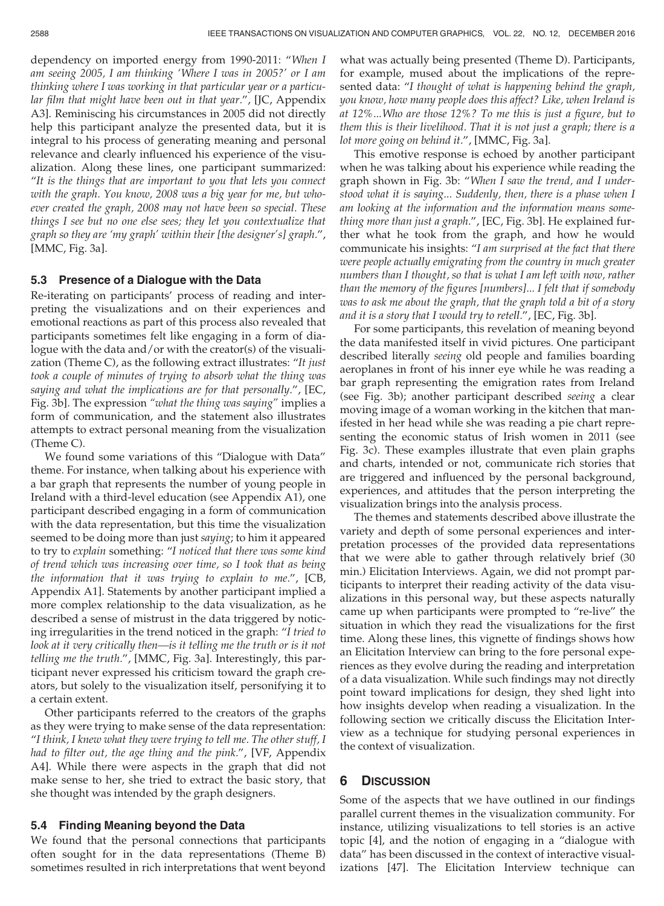dependency on imported energy from 1990-2011: "When I am seeing 2005, I am thinking 'Where I was in 2005?' or I am thinking where I was working in that particular year or a particular film that might have been out in that year.", [JC, Appendix A3]. Reminiscing his circumstances in 2005 did not directly help this participant analyze the presented data, but it is integral to his process of generating meaning and personal relevance and clearly influenced his experience of the visualization. Along these lines, one participant summarized: "It is the things that are important to you that lets you connect with the graph. You know, 2008 was a big year for me, but whoever created the graph, 2008 may not have been so special. These things I see but no one else sees; they let you contextualize that graph so they are 'my graph' within their [the designer's] graph.", [MMC, Fig. 3a].

## 5.3 Presence of a Dialogue with the Data

Re-iterating on participants' process of reading and interpreting the visualizations and on their experiences and emotional reactions as part of this process also revealed that participants sometimes felt like engaging in a form of dialogue with the data and/or with the creator(s) of the visualization (Theme C), as the following extract illustrates: "It just took a couple of minutes of trying to absorb what the thing was saying and what the implications are for that personally.", [EC, Fig. 3b]. The expression "what the thing was saying" implies a form of communication, and the statement also illustrates attempts to extract personal meaning from the visualization (Theme C).

We found some variations of this "Dialogue with Data" theme. For instance, when talking about his experience with a bar graph that represents the number of young people in Ireland with a third-level education (see Appendix A1), one participant described engaging in a form of communication with the data representation, but this time the visualization seemed to be doing more than just saying; to him it appeared to try to explain something: "I noticed that there was some kind of trend which was increasing over time, so I took that as being the information that it was trying to explain to me.", [CB, Appendix A1]. Statements by another participant implied a more complex relationship to the data visualization, as he described a sense of mistrust in the data triggered by noticing irregularities in the trend noticed in the graph: "I tried to look at it very critically then—is it telling me the truth or is it not telling me the truth.", [MMC, Fig. 3a]. Interestingly, this participant never expressed his criticism toward the graph creators, but solely to the visualization itself, personifying it to a certain extent.

Other participants referred to the creators of the graphs as they were trying to make sense of the data representation: "I think, I knew what they were trying to tell me. The other stuff, I had to filter out, the age thing and the pink.", [VF, Appendix A4]. While there were aspects in the graph that did not make sense to her, she tried to extract the basic story, that she thought was intended by the graph designers.

## 5.4 Finding Meaning beyond the Data

We found that the personal connections that participants often sought for in the data representations (Theme B) sometimes resulted in rich interpretations that went beyond

what was actually being presented (Theme D). Participants, for example, mused about the implications of the represented data: "I thought of what is happening behind the graph, you know, how many people does this affect? Like, when Ireland is at 12%...Who are those 12%? To me this is just a figure, but to them this is their livelihood. That it is not just a graph; there is a lot more going on behind it.", [MMC, Fig. 3a].

This emotive response is echoed by another participant when he was talking about his experience while reading the graph shown in Fig. 3b: "When I saw the trend, and I understood what it is saying... Suddenly, then, there is a phase when I am looking at the information and the information means something more than just a graph.", [EC, Fig. 3b]. He explained further what he took from the graph, and how he would communicate his insights: "I am surprised at the fact that there were people actually emigrating from the country in much greater numbers than I thought, so that is what I am left with now, rather than the memory of the figures [numbers]... I felt that if somebody was to ask me about the graph, that the graph told a bit of a story and it is a story that I would try to retell.", [EC, Fig. 3b].

For some participants, this revelation of meaning beyond the data manifested itself in vivid pictures. One participant described literally seeing old people and families boarding aeroplanes in front of his inner eye while he was reading a bar graph representing the emigration rates from Ireland (see Fig. 3b); another participant described seeing a clear moving image of a woman working in the kitchen that manifested in her head while she was reading a pie chart representing the economic status of Irish women in 2011 (see Fig. 3c). These examples illustrate that even plain graphs and charts, intended or not, communicate rich stories that are triggered and influenced by the personal background, experiences, and attitudes that the person interpreting the visualization brings into the analysis process.

The themes and statements described above illustrate the variety and depth of some personal experiences and interpretation processes of the provided data representations that we were able to gather through relatively brief (30 min.) Elicitation Interviews. Again, we did not prompt participants to interpret their reading activity of the data visualizations in this personal way, but these aspects naturally came up when participants were prompted to "re-live" the situation in which they read the visualizations for the first time. Along these lines, this vignette of findings shows how an Elicitation Interview can bring to the fore personal experiences as they evolve during the reading and interpretation of a data visualization. While such findings may not directly point toward implications for design, they shed light into how insights develop when reading a visualization. In the following section we critically discuss the Elicitation Interview as a technique for studying personal experiences in the context of visualization.

# 6 DISCUSSION

Some of the aspects that we have outlined in our findings parallel current themes in the visualization community. For instance, utilizing visualizations to tell stories is an active topic [4], and the notion of engaging in a "dialogue with data" has been discussed in the context of interactive visualizations [47]. The Elicitation Interview technique can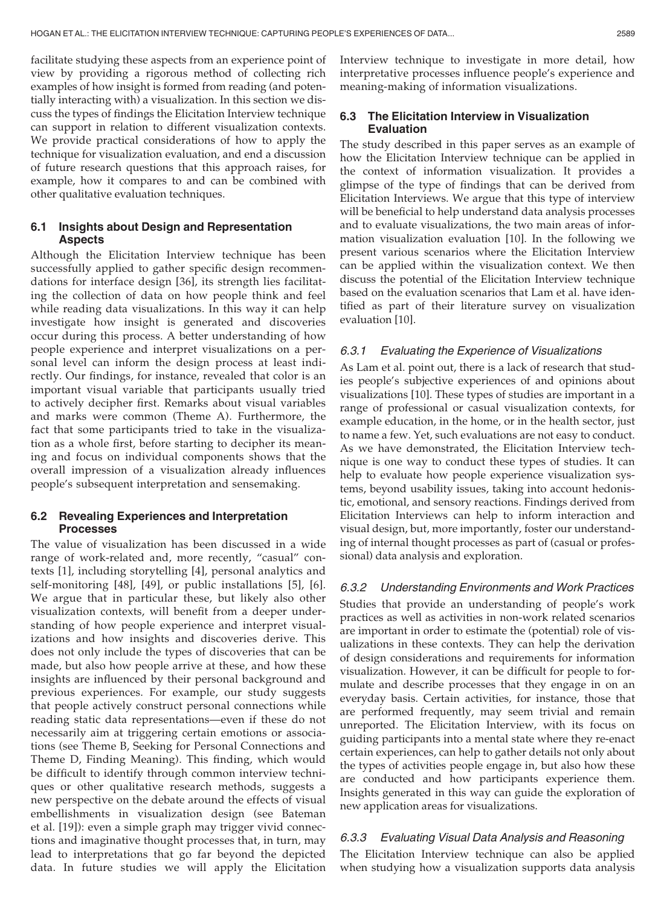facilitate studying these aspects from an experience point of view by providing a rigorous method of collecting rich examples of how insight is formed from reading (and potentially interacting with) a visualization. In this section we discuss the types of findings the Elicitation Interview technique can support in relation to different visualization contexts. We provide practical considerations of how to apply the technique for visualization evaluation, and end a discussion of future research questions that this approach raises, for example, how it compares to and can be combined with other qualitative evaluation techniques.

# 6.1 Insights about Design and Representation Aspects

Although the Elicitation Interview technique has been successfully applied to gather specific design recommendations for interface design [36], its strength lies facilitating the collection of data on how people think and feel while reading data visualizations. In this way it can help investigate how insight is generated and discoveries occur during this process. A better understanding of how people experience and interpret visualizations on a personal level can inform the design process at least indirectly. Our findings, for instance, revealed that color is an important visual variable that participants usually tried to actively decipher first. Remarks about visual variables and marks were common (Theme A). Furthermore, the fact that some participants tried to take in the visualization as a whole first, before starting to decipher its meaning and focus on individual components shows that the overall impression of a visualization already influences people's subsequent interpretation and sensemaking.

## 6.2 Revealing Experiences and Interpretation **Processes**

The value of visualization has been discussed in a wide range of work-related and, more recently, "casual" contexts [1], including storytelling [4], personal analytics and self-monitoring [48], [49], or public installations [5], [6]. We argue that in particular these, but likely also other visualization contexts, will benefit from a deeper understanding of how people experience and interpret visualizations and how insights and discoveries derive. This does not only include the types of discoveries that can be made, but also how people arrive at these, and how these insights are influenced by their personal background and previous experiences. For example, our study suggests that people actively construct personal connections while reading static data representations—even if these do not necessarily aim at triggering certain emotions or associations (see Theme B, Seeking for Personal Connections and Theme D, Finding Meaning). This finding, which would be difficult to identify through common interview techniques or other qualitative research methods, suggests a new perspective on the debate around the effects of visual embellishments in visualization design (see Bateman et al. [19]): even a simple graph may trigger vivid connections and imaginative thought processes that, in turn, may lead to interpretations that go far beyond the depicted data. In future studies we will apply the Elicitation Interview technique to investigate in more detail, how interpretative processes influence people's experience and meaning-making of information visualizations.

#### 6.3 The Elicitation Interview in Visualization Evaluation

The study described in this paper serves as an example of how the Elicitation Interview technique can be applied in the context of information visualization. It provides a glimpse of the type of findings that can be derived from Elicitation Interviews. We argue that this type of interview will be beneficial to help understand data analysis processes and to evaluate visualizations, the two main areas of information visualization evaluation [10]. In the following we present various scenarios where the Elicitation Interview can be applied within the visualization context. We then discuss the potential of the Elicitation Interview technique based on the evaluation scenarios that Lam et al. have identified as part of their literature survey on visualization evaluation [10].

## 6.3.1 Evaluating the Experience of Visualizations

As Lam et al. point out, there is a lack of research that studies people's subjective experiences of and opinions about visualizations [10]. These types of studies are important in a range of professional or casual visualization contexts, for example education, in the home, or in the health sector, just to name a few. Yet, such evaluations are not easy to conduct. As we have demonstrated, the Elicitation Interview technique is one way to conduct these types of studies. It can help to evaluate how people experience visualization systems, beyond usability issues, taking into account hedonistic, emotional, and sensory reactions. Findings derived from Elicitation Interviews can help to inform interaction and visual design, but, more importantly, foster our understanding of internal thought processes as part of (casual or professional) data analysis and exploration.

# 6.3.2 Understanding Environments and Work Practices

Studies that provide an understanding of people's work practices as well as activities in non-work related scenarios are important in order to estimate the (potential) role of visualizations in these contexts. They can help the derivation of design considerations and requirements for information visualization. However, it can be difficult for people to formulate and describe processes that they engage in on an everyday basis. Certain activities, for instance, those that are performed frequently, may seem trivial and remain unreported. The Elicitation Interview, with its focus on guiding participants into a mental state where they re-enact certain experiences, can help to gather details not only about the types of activities people engage in, but also how these are conducted and how participants experience them. Insights generated in this way can guide the exploration of new application areas for visualizations.

## 6.3.3 Evaluating Visual Data Analysis and Reasoning

The Elicitation Interview technique can also be applied when studying how a visualization supports data analysis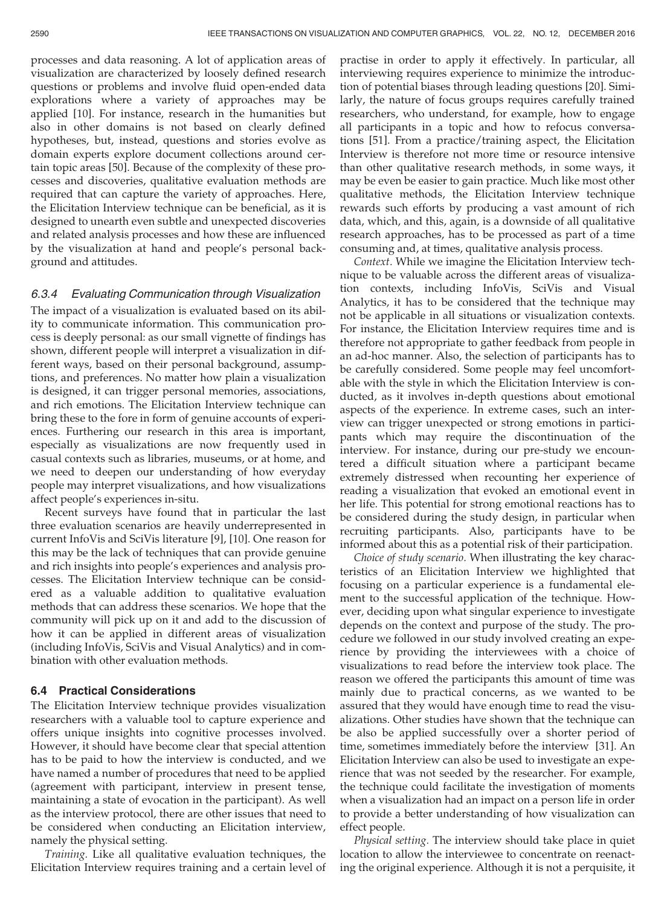processes and data reasoning. A lot of application areas of visualization are characterized by loosely defined research questions or problems and involve fluid open-ended data explorations where a variety of approaches may be applied [10]. For instance, research in the humanities but also in other domains is not based on clearly defined hypotheses, but, instead, questions and stories evolve as domain experts explore document collections around certain topic areas [50]. Because of the complexity of these processes and discoveries, qualitative evaluation methods are required that can capture the variety of approaches. Here, the Elicitation Interview technique can be beneficial, as it is designed to unearth even subtle and unexpected discoveries and related analysis processes and how these are influenced by the visualization at hand and people's personal background and attitudes.

#### 6.3.4 Evaluating Communication through Visualization

The impact of a visualization is evaluated based on its ability to communicate information. This communication process is deeply personal: as our small vignette of findings has shown, different people will interpret a visualization in different ways, based on their personal background, assumptions, and preferences. No matter how plain a visualization is designed, it can trigger personal memories, associations, and rich emotions. The Elicitation Interview technique can bring these to the fore in form of genuine accounts of experiences. Furthering our research in this area is important, especially as visualizations are now frequently used in casual contexts such as libraries, museums, or at home, and we need to deepen our understanding of how everyday people may interpret visualizations, and how visualizations affect people's experiences in-situ.

Recent surveys have found that in particular the last three evaluation scenarios are heavily underrepresented in current InfoVis and SciVis literature [9], [10]. One reason for this may be the lack of techniques that can provide genuine and rich insights into people's experiences and analysis processes. The Elicitation Interview technique can be considered as a valuable addition to qualitative evaluation methods that can address these scenarios. We hope that the community will pick up on it and add to the discussion of how it can be applied in different areas of visualization (including InfoVis, SciVis and Visual Analytics) and in combination with other evaluation methods.

## 6.4 Practical Considerations

The Elicitation Interview technique provides visualization researchers with a valuable tool to capture experience and offers unique insights into cognitive processes involved. However, it should have become clear that special attention has to be paid to how the interview is conducted, and we have named a number of procedures that need to be applied (agreement with participant, interview in present tense, maintaining a state of evocation in the participant). As well as the interview protocol, there are other issues that need to be considered when conducting an Elicitation interview, namely the physical setting.

Training. Like all qualitative evaluation techniques, the Elicitation Interview requires training and a certain level of practise in order to apply it effectively. In particular, all interviewing requires experience to minimize the introduction of potential biases through leading questions [20]. Similarly, the nature of focus groups requires carefully trained researchers, who understand, for example, how to engage all participants in a topic and how to refocus conversations [51]. From a practice/training aspect, the Elicitation Interview is therefore not more time or resource intensive than other qualitative research methods, in some ways, it may be even be easier to gain practice. Much like most other qualitative methods, the Elicitation Interview technique rewards such efforts by producing a vast amount of rich data, which, and this, again, is a downside of all qualitative research approaches, has to be processed as part of a time consuming and, at times, qualitative analysis process.

Context. While we imagine the Elicitation Interview technique to be valuable across the different areas of visualization contexts, including InfoVis, SciVis and Visual Analytics, it has to be considered that the technique may not be applicable in all situations or visualization contexts. For instance, the Elicitation Interview requires time and is therefore not appropriate to gather feedback from people in an ad-hoc manner. Also, the selection of participants has to be carefully considered. Some people may feel uncomfortable with the style in which the Elicitation Interview is conducted, as it involves in-depth questions about emotional aspects of the experience. In extreme cases, such an interview can trigger unexpected or strong emotions in participants which may require the discontinuation of the interview. For instance, during our pre-study we encountered a difficult situation where a participant became extremely distressed when recounting her experience of reading a visualization that evoked an emotional event in her life. This potential for strong emotional reactions has to be considered during the study design, in particular when recruiting participants. Also, participants have to be informed about this as a potential risk of their participation.

Choice of study scenario. When illustrating the key characteristics of an Elicitation Interview we highlighted that focusing on a particular experience is a fundamental element to the successful application of the technique. However, deciding upon what singular experience to investigate depends on the context and purpose of the study. The procedure we followed in our study involved creating an experience by providing the interviewees with a choice of visualizations to read before the interview took place. The reason we offered the participants this amount of time was mainly due to practical concerns, as we wanted to be assured that they would have enough time to read the visualizations. Other studies have shown that the technique can be also be applied successfully over a shorter period of time, sometimes immediately before the interview [31]. An Elicitation Interview can also be used to investigate an experience that was not seeded by the researcher. For example, the technique could facilitate the investigation of moments when a visualization had an impact on a person life in order to provide a better understanding of how visualization can effect people.

Physical setting. The interview should take place in quiet location to allow the interviewee to concentrate on reenacting the original experience. Although it is not a perquisite, it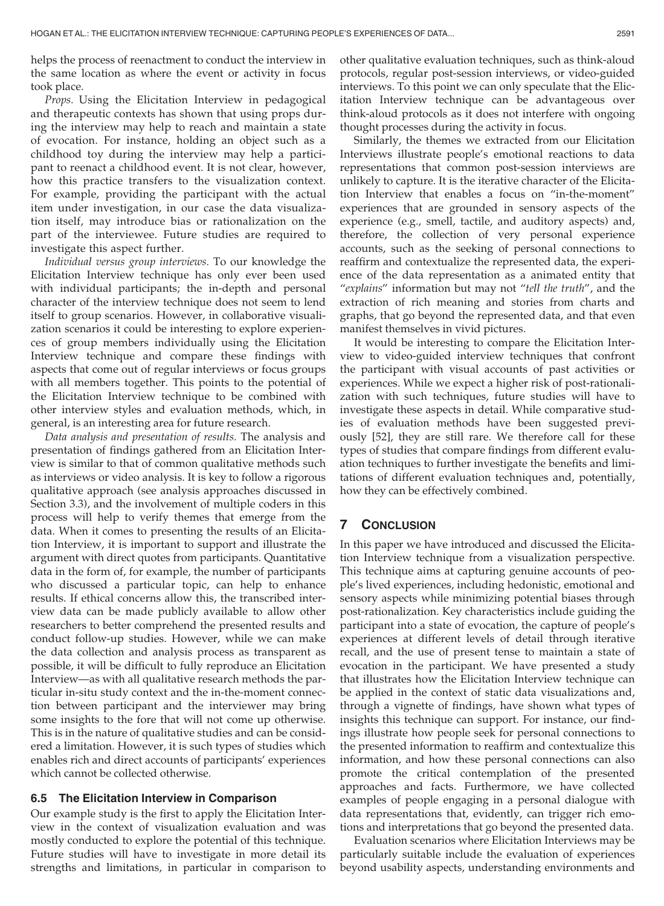helps the process of reenactment to conduct the interview in the same location as where the event or activity in focus took place.

Props. Using the Elicitation Interview in pedagogical and therapeutic contexts has shown that using props during the interview may help to reach and maintain a state of evocation. For instance, holding an object such as a childhood toy during the interview may help a participant to reenact a childhood event. It is not clear, however, how this practice transfers to the visualization context. For example, providing the participant with the actual item under investigation, in our case the data visualization itself, may introduce bias or rationalization on the part of the interviewee. Future studies are required to investigate this aspect further.

Individual versus group interviews. To our knowledge the Elicitation Interview technique has only ever been used with individual participants; the in-depth and personal character of the interview technique does not seem to lend itself to group scenarios. However, in collaborative visualization scenarios it could be interesting to explore experiences of group members individually using the Elicitation Interview technique and compare these findings with aspects that come out of regular interviews or focus groups with all members together. This points to the potential of the Elicitation Interview technique to be combined with other interview styles and evaluation methods, which, in general, is an interesting area for future research.

Data analysis and presentation of results. The analysis and presentation of findings gathered from an Elicitation Interview is similar to that of common qualitative methods such as interviews or video analysis. It is key to follow a rigorous qualitative approach (see analysis approaches discussed in Section 3.3), and the involvement of multiple coders in this process will help to verify themes that emerge from the data. When it comes to presenting the results of an Elicitation Interview, it is important to support and illustrate the argument with direct quotes from participants. Quantitative data in the form of, for example, the number of participants who discussed a particular topic, can help to enhance results. If ethical concerns allow this, the transcribed interview data can be made publicly available to allow other researchers to better comprehend the presented results and conduct follow-up studies. However, while we can make the data collection and analysis process as transparent as possible, it will be difficult to fully reproduce an Elicitation Interview—as with all qualitative research methods the particular in-situ study context and the in-the-moment connection between participant and the interviewer may bring some insights to the fore that will not come up otherwise. This is in the nature of qualitative studies and can be considered a limitation. However, it is such types of studies which enables rich and direct accounts of participants' experiences which cannot be collected otherwise.

## 6.5 The Elicitation Interview in Comparison

Our example study is the first to apply the Elicitation Interview in the context of visualization evaluation and was mostly conducted to explore the potential of this technique. Future studies will have to investigate in more detail its strengths and limitations, in particular in comparison to other qualitative evaluation techniques, such as think-aloud protocols, regular post-session interviews, or video-guided interviews. To this point we can only speculate that the Elicitation Interview technique can be advantageous over think-aloud protocols as it does not interfere with ongoing thought processes during the activity in focus.

Similarly, the themes we extracted from our Elicitation Interviews illustrate people's emotional reactions to data representations that common post-session interviews are unlikely to capture. It is the iterative character of the Elicitation Interview that enables a focus on "in-the-moment" experiences that are grounded in sensory aspects of the experience (e.g., smell, tactile, and auditory aspects) and, therefore, the collection of very personal experience accounts, such as the seeking of personal connections to reaffirm and contextualize the represented data, the experience of the data representation as a animated entity that "explains" information but may not "tell the truth", and the extraction of rich meaning and stories from charts and graphs, that go beyond the represented data, and that even manifest themselves in vivid pictures.

It would be interesting to compare the Elicitation Interview to video-guided interview techniques that confront the participant with visual accounts of past activities or experiences. While we expect a higher risk of post-rationalization with such techniques, future studies will have to investigate these aspects in detail. While comparative studies of evaluation methods have been suggested previously [52], they are still rare. We therefore call for these types of studies that compare findings from different evaluation techniques to further investigate the benefits and limitations of different evaluation techniques and, potentially, how they can be effectively combined.

## 7 CONCLUSION

In this paper we have introduced and discussed the Elicitation Interview technique from a visualization perspective. This technique aims at capturing genuine accounts of people's lived experiences, including hedonistic, emotional and sensory aspects while minimizing potential biases through post-rationalization. Key characteristics include guiding the participant into a state of evocation, the capture of people's experiences at different levels of detail through iterative recall, and the use of present tense to maintain a state of evocation in the participant. We have presented a study that illustrates how the Elicitation Interview technique can be applied in the context of static data visualizations and, through a vignette of findings, have shown what types of insights this technique can support. For instance, our findings illustrate how people seek for personal connections to the presented information to reaffirm and contextualize this information, and how these personal connections can also promote the critical contemplation of the presented approaches and facts. Furthermore, we have collected examples of people engaging in a personal dialogue with data representations that, evidently, can trigger rich emotions and interpretations that go beyond the presented data.

Evaluation scenarios where Elicitation Interviews may be particularly suitable include the evaluation of experiences beyond usability aspects, understanding environments and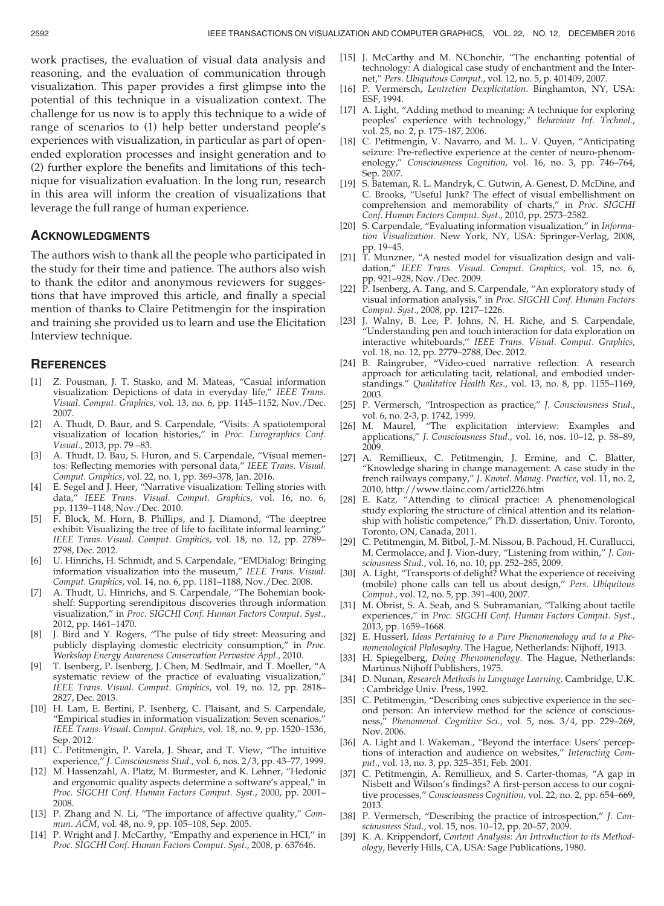work practises, the evaluation of visual data analysis and reasoning, and the evaluation of communication through visualization. This paper provides a first glimpse into the potential of this technique in a visualization context. The challenge for us now is to apply this technique to a wide of range of scenarios to (1) help better understand people's experiences with visualization, in particular as part of openended exploration processes and insight generation and to (2) further explore the benefits and limitations of this technique for visualization evaluation. In the long run, research in this area will inform the creation of visualizations that leverage the full range of human experience.

## ACKNOWLEDGMENTS

The authors wish to thank all the people who participated in the study for their time and patience. The authors also wish to thank the editor and anonymous reviewers for suggestions that have improved this article, and finally a special mention of thanks to Claire Petitmengin for the inspiration and training she provided us to learn and use the Elicitation Interview technique.

## **REFERENCES**

- [1] Z. Pousman, J. T. Stasko, and M. Mateas, "Casual information visualization: Depictions of data in everyday life," IEEE Trans. Visual. Comput. Graphics, vol. 13, no. 6, pp. 1145–1152, Nov./Dec. 2007.
- [2] A. Thudt, D. Baur, and S. Carpendale, "Visits: A spatiotemporal visualization of location histories," in Proc. Eurographics Conf. Visual., 2013, pp. 79 –83.
- A. Thudt, D. Bau, S. Huron, and S. Carpendale, "Visual mementos: Reflecting memories with personal data," IEEE Trans. Visual. Comput. Graphics, vol. 22, no. 1, pp. 369–378, Jan. 2016.
- [4] E. Segel and J. Heer, "Narrative visualization: Telling stories with data," IEEE Trans. Visual. Comput. Graphics, vol. 16, no. 6, pp. 1139–1148, Nov./Dec. 2010.
- [5] F. Block, M. Horn, B. Phillips, and J. Diamond, "The deeptree exhibit: Visualizing the tree of life to facilitate informal learning," IEEE Trans. Visual. Comput. Graphics, vol. 18, no. 12, pp. 2789– 2798, Dec. 2012.
- [6] U. Hinrichs, H. Schmidt, and S. Carpendale, "EMDialog: Bringing information visualization into the museum," IEEE Trans. Visual. Comput. Graphics, vol. 14, no. 6, pp. 1181–1188, Nov./Dec. 2008.
- [7] A. Thudt, U. Hinrichs, and S. Carpendale, "The Bohemian bookshelf: Supporting serendipitous discoveries through information visualization," in Proc. SIGCHI Conf. Human Factors Comput. Syst., 2012, pp. 1461–1470.
- [8] J. Bird and Y. Rogers, "The pulse of tidy street: Measuring and publicly displaying domestic electricity consumption," in Proc. Workshop Energy Awareness Conservation Pervasive Appl., 2010.
- [9] T. Isenberg, P. Isenberg, J. Chen, M. Sedlmair, and T. Moeller, "A systematic review of the practice of evaluating visualization," IEEE Trans. Visual. Comput. Graphics, vol. 19, no. 12, pp. 2818– 2827, Dec. 2013.
- [10] H. Lam, E. Bertini, P. Isenberg, C. Plaisant, and S. Carpendale, "Empirical studies in information visualization: Seven scenarios," IEEE Trans. Visual. Comput. Graphics, vol. 18, no. 9, pp. 1520–1536, Sep. 2012.
- [11] C. Petitmengin, P. Varela, J. Shear, and T. View, "The intuitive experience," J. Consciousness Stud., vol. 6, nos. 2/3, pp. 43–77, 1999.
- [12] M. Hassenzahl, A. Platz, M. Burmester, and K. Lehner, "Hedonic and ergonomic quality aspects determine a software's appeal," in Proc. SIGCHI Conf. Human Factors Comput. Syst., 2000, pp. 2001– 2008.
- [13] P. Zhang and N. Li, "The importance of affective quality," Commun. ACM, vol. 48, no. 9, pp. 105–108, Sep. 2005.
- [14] P. Wright and J. McCarthy, "Empathy and experience in HCI," in Proc. SIGCHI Conf. Human Factors Comput. Syst., 2008, p. 637646.
- [15] J. McCarthy and M. NChonchir, "The enchanting potential of technology: A dialogical case study of enchantment and the Internet," Pers. Ubiquitous Comput., vol. 12, no. 5, p. 401409, 2007.
- [16] P. Vermersch, Lentretien Dexplicitation. Binghamton, NY, USA: ESF, 1994.
- [17] A. Light, "Adding method to meaning: A technique for exploring peoples' experience with technology," Behaviour Inf. Technol., vol. 25, no. 2, p. 175–187, 2006.
- [18] C. Petitmengin, V. Navarro, and M. L. V. Quyen, "Anticipating seizure: Pre-reflective experience at the center of neuro-phenomenology," Consciousness Cognition, vol. 16, no. 3, pp. 746–764, Sep. 2007.
- [19] S. Bateman, R. L. Mandryk, C. Gutwin, A. Genest, D. McDine, and C. Brooks, "Useful Junk? The effect of visual embellishment on comprehension and memorability of charts," in Proc. SIGCHI Conf. Human Factors Comput. Syst., 2010, pp. 2573–2582.
- [20] S. Carpendale, "Evaluating information visualization," in Information Visualization. New York, NY, USA: Springer-Verlag, 2008, pp. 19–45.
- [21] T. Munzner, "A nested model for visualization design and validation," IEEE Trans. Visual. Comput. Graphics, vol. 15, no. 6, pp. 921–928, Nov./Dec. 2009.
- [22] P. Isenberg, A. Tang, and S. Carpendale, "An exploratory study of visual information analysis," in Proc. SIGCHI Conf. Human Factors Comput. Syst., 2008, pp. 1217–1226.
- [23] J. Walny, B. Lee, P. Johns, N. H. Riche, and S. Carpendale, "Understanding pen and touch interaction for data exploration on interactive whiteboards," IEEE Trans. Visual. Comput. Graphics, vol. 18, no. 12, pp. 2779–2788, Dec. 2012.
- [24] B. Raingruber, "Video-cued narrative reflection: A research approach for articulating tacit, relational, and embodied understandings." Qualitative Health Res., vol. 13, no. 8, pp. 1155–1169, 2003.
- [25] P. Vermersch, "Introspection as practice," J. Consciousness Stud., vol. 6, no. 2-3, p. 1742, 1999.
- [26] M. Maurel, "The explicitation interview: Examples and applications," J. Consciousness Stud., vol. 16, nos. 10–12, p. 58–89, 2009.
- [27] A. Remillieux, C. Petitmengin, J. Ermine, and C. Blatter, "Knowledge sharing in change management: A case study in the french railways company," J. Knowl. Manag. Practice, vol. 11, no. 2, 2010, http://www.tlainc.com/articl226.htm
- [28] E. Katz, "Attending to clinical practice: A phenomenological study exploring the structure of clinical attention and its relationship with holistic competence," Ph.D. dissertation, Univ. Toronto, Toronto, ON, Canada, 2011.
- [29] C. Petitmengin, M. Bitbol, J.-M. Nissou, B. Pachoud, H. Curallucci, M. Cermolacce, and J. Vion-dury, "Listening from within," J. Consciousness Stud., vol. 16, no. 10, pp. 252–285, 2009.
- [30] A. Light, "Transports of delight? What the experience of receiving (mobile) phone calls can tell us about design," Pers. Ubiquitous Comput., vol. 12, no. 5, pp. 391–400, 2007.
- [31] M. Obrist, S. A. Seah, and S. Subramanian, "Talking about tactile experiences," in Proc. SIGCHI Conf. Human Factors Comput. Syst., 2013, pp. 1659–1668.
- [32] E. Husserl, Ideas Pertaining to a Pure Phenomenology and to a Phenomenological Philosophy. The Hague, Netherlands: Nijhoff, 1913.
- [33] H. Spiegelberg, Doing Phenomenology. The Hague, Netherlands: Martinus Nijhoff Publishers, 1975.
- [34] D. Nunan, Research Methods in Language Learning. Cambridge, U.K. : Cambridge Univ. Press, 1992.
- [35] C. Petitmengin, "Describing ones subjective experience in the second person: An interview method for the science of consciousness," Phenomenol. Cognitive Sci., vol. 5, nos. 3/4, pp. 229–269, Nov. 2006.
- [36] A. Light and I. Wakeman., "Beyond the interface: Users' perceptions of interaction and audience on websites," Interacting Comput., vol. 13, no. 3, pp. 325–351, Feb. 2001.
- [37] C. Petitmengin, A. Remillieux, and S. Carter-thomas, "A gap in Nisbett and Wilson's findings? A first-person access to our cognitive processes," Consciousness Cognition, vol. 22, no. 2, pp. 654–669, 2013.
- [38] P. Vermersch, "Describing the practice of introspection," J. Consciousness Stud., vol. 15, nos. 10–12, pp. 20–57, 2009.
- [39] K. A. Krippendorf, Content Analysis: An Introduction to its Methodology, Beverly Hills, CA, USA: Sage Publications, 1980.